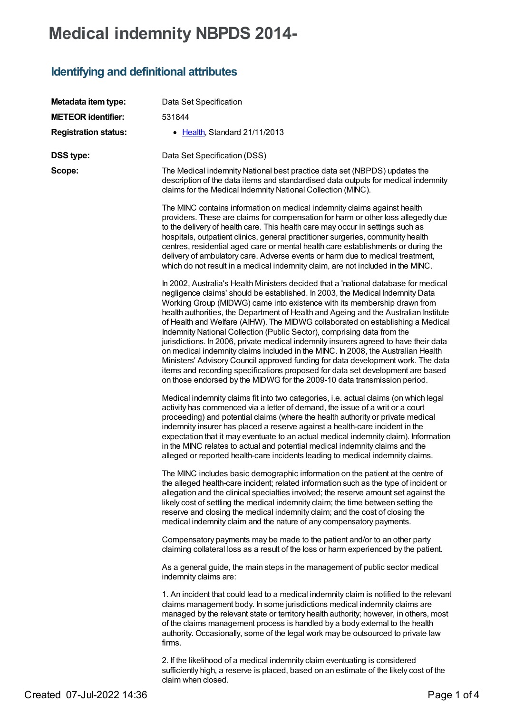# **Medical indemnity NBPDS 2014-**

## **Identifying and definitional attributes**

| Metadata item type:         | Data Set Specification                                                                                                                                                                                                                                                                                                                                                                                                                                                                                                                                                                                                                                                                                                                                                                                                                                                                                                              |
|-----------------------------|-------------------------------------------------------------------------------------------------------------------------------------------------------------------------------------------------------------------------------------------------------------------------------------------------------------------------------------------------------------------------------------------------------------------------------------------------------------------------------------------------------------------------------------------------------------------------------------------------------------------------------------------------------------------------------------------------------------------------------------------------------------------------------------------------------------------------------------------------------------------------------------------------------------------------------------|
| <b>METEOR identifier:</b>   | 531844                                                                                                                                                                                                                                                                                                                                                                                                                                                                                                                                                                                                                                                                                                                                                                                                                                                                                                                              |
| <b>Registration status:</b> | • Health, Standard 21/11/2013                                                                                                                                                                                                                                                                                                                                                                                                                                                                                                                                                                                                                                                                                                                                                                                                                                                                                                       |
| <b>DSS type:</b>            | Data Set Specification (DSS)                                                                                                                                                                                                                                                                                                                                                                                                                                                                                                                                                                                                                                                                                                                                                                                                                                                                                                        |
| Scope:                      | The Medical indemnity National best practice data set (NBPDS) updates the<br>description of the data items and standardised data outputs for medical indemnity<br>claims for the Medical Indemnity National Collection (MINC).                                                                                                                                                                                                                                                                                                                                                                                                                                                                                                                                                                                                                                                                                                      |
|                             | The MINC contains information on medical indemnity claims against health<br>providers. These are claims for compensation for harm or other loss allegedly due<br>to the delivery of health care. This health care may occur in settings such as<br>hospitals, outpatient clinics, general practitioner surgeries, community health<br>centres, residential aged care or mental health care establishments or during the<br>delivery of ambulatory care. Adverse events or harm due to medical treatment,<br>which do not result in a medical indemnity claim, are not included in the MINC.                                                                                                                                                                                                                                                                                                                                         |
|                             | In 2002, Australia's Health Ministers decided that a 'national database for medical<br>negligence claims' should be established. In 2003, the Medical Indemnity Data<br>Working Group (MIDWG) came into existence with its membership drawn from<br>health authorities, the Department of Health and Ageing and the Australian Institute<br>of Health and Welfare (AIHW). The MIDWG collaborated on establishing a Medical<br>Indemnity National Collection (Public Sector), comprising data from the<br>jurisdictions. In 2006, private medical indemnity insurers agreed to have their data<br>on medical indemnity claims included in the MINC. In 2008, the Australian Health<br>Ministers' Advisory Council approved funding for data development work. The data<br>items and recording specifications proposed for data set development are based<br>on those endorsed by the MIDWG for the 2009-10 data transmission period. |
|                             | Medical indemnity claims fit into two categories, i.e. actual claims (on which legal<br>activity has commenced via a letter of demand, the issue of a writ or a court<br>proceeding) and potential claims (where the health authority or private medical<br>indemnity insurer has placed a reserve against a health-care incident in the<br>expectation that it may eventuate to an actual medical indemnity claim). Information<br>in the MINC relates to actual and potential medical indemnity claims and the<br>alleged or reported health-care incidents leading to medical indemnity claims.                                                                                                                                                                                                                                                                                                                                  |
|                             | The MINC includes basic demographic information on the patient at the centre of<br>the alleged health-care incident; related information such as the type of incident or<br>allegation and the clinical specialties involved; the reserve amount set against the<br>likely cost of settling the medical indemnity claim; the time between setting the<br>reserve and closing the medical indemnity claim; and the cost of closing the<br>medical indemnity claim and the nature of any compensatory payments.                                                                                                                                                                                                                                                                                                                                                                                                                       |
|                             | Compensatory payments may be made to the patient and/or to an other party<br>claiming collateral loss as a result of the loss or harm experienced by the patient.                                                                                                                                                                                                                                                                                                                                                                                                                                                                                                                                                                                                                                                                                                                                                                   |
|                             | As a general guide, the main steps in the management of public sector medical<br>indemnity claims are:                                                                                                                                                                                                                                                                                                                                                                                                                                                                                                                                                                                                                                                                                                                                                                                                                              |
|                             | 1. An incident that could lead to a medical indemnity claim is notified to the relevant<br>claims management body. In some jurisdictions medical indemnity claims are<br>managed by the relevant state or territory health authority; however, in others, most<br>of the claims management process is handled by a body external to the health<br>authority. Occasionally, some of the legal work may be outsourced to private law<br>firms.                                                                                                                                                                                                                                                                                                                                                                                                                                                                                        |
|                             | 2. If the likelihood of a medical indemnity claim eventuating is considered<br>sufficiently high, a reserve is placed, based on an estimate of the likely cost of the                                                                                                                                                                                                                                                                                                                                                                                                                                                                                                                                                                                                                                                                                                                                                               |

claim when closed.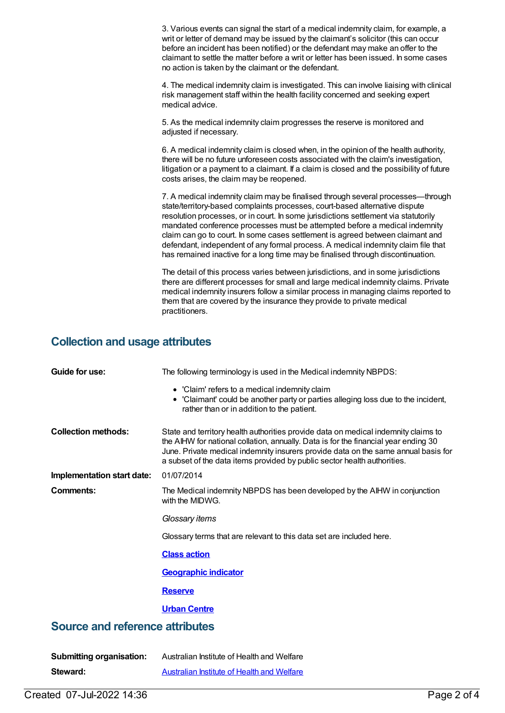3. Various events can signal the start of a medical indemnity claim, for example, a writ or letter of demand may be issued by the claimant's solicitor (this can occur before an incident has been notified) or the defendant may make an offer to the claimant to settle the matter before a writ or letter has been issued. In some cases no action is taken by the claimant or the defendant. 4. The medical indemnity claim is investigated. This can involve liaising with clinical risk management staff within the health facility concerned and seeking expert medical advice.

> 5. As the medical indemnity claim progresses the reserve is monitored and adjusted if necessary.

6. A medical indemnity claim is closed when, in the opinion of the health authority, there will be no future unforeseen costs associated with the claim's investigation, litigation or a payment to a claimant. If a claim is closed and the possibility of future costs arises, the claim may be reopened.

7. A medical indemnity claim may be finalised through several processes—through state/territory-based complaints processes, court-based alternative dispute resolution processes, or in court. In some jurisdictions settlement via statutorily mandated conference processes must be attempted before a medical indemnity claim can go to court. In some cases settlement is agreed between claimant and defendant, independent of any formal process. A medical indemnity claim file that has remained inactive for a long time may be finalised through discontinuation.

The detail of this process varies between jurisdictions, and in some jurisdictions there are different processes for small and large medical indemnity claims. Private medical indemnity insurers follow a similar process in managing claims reported to them that are covered by the insurance they provide to private medical practitioners.

#### **Collection and usage attributes**

| Guide for use:                         | The following terminology is used in the Medical indemnity NBPDS:                                                                                                                                                                                                                                                                           |  |  |
|----------------------------------------|---------------------------------------------------------------------------------------------------------------------------------------------------------------------------------------------------------------------------------------------------------------------------------------------------------------------------------------------|--|--|
|                                        | • 'Claim' refers to a medical indemnity claim<br>• 'Claimant' could be another party or parties alleging loss due to the incident,<br>rather than or in addition to the patient.                                                                                                                                                            |  |  |
| <b>Collection methods:</b>             | State and territory health authorities provide data on medical indemnity claims to<br>the AIHW for national collation, annually. Data is for the financial year ending 30<br>June. Private medical indemnity insurers provide data on the same annual basis for<br>a subset of the data items provided by public sector health authorities. |  |  |
| Implementation start date:             | 01/07/2014                                                                                                                                                                                                                                                                                                                                  |  |  |
| Comments:                              | The Medical indemnity NBPDS has been developed by the AIHW in conjunction<br>with the MIDWG.                                                                                                                                                                                                                                                |  |  |
|                                        | Glossary items                                                                                                                                                                                                                                                                                                                              |  |  |
|                                        | Glossary terms that are relevant to this data set are included here.                                                                                                                                                                                                                                                                        |  |  |
|                                        | <b>Class action</b>                                                                                                                                                                                                                                                                                                                         |  |  |
|                                        | <b>Geographic indicator</b>                                                                                                                                                                                                                                                                                                                 |  |  |
|                                        | <b>Reserve</b>                                                                                                                                                                                                                                                                                                                              |  |  |
|                                        | <b>Urban Centre</b>                                                                                                                                                                                                                                                                                                                         |  |  |
| <b>Source and reference attributes</b> |                                                                                                                                                                                                                                                                                                                                             |  |  |

| <b>Submitting organisation:</b> | Australian Institute of Health and Welfare |
|---------------------------------|--------------------------------------------|
| Steward:                        | Australian Institute of Health and Welfare |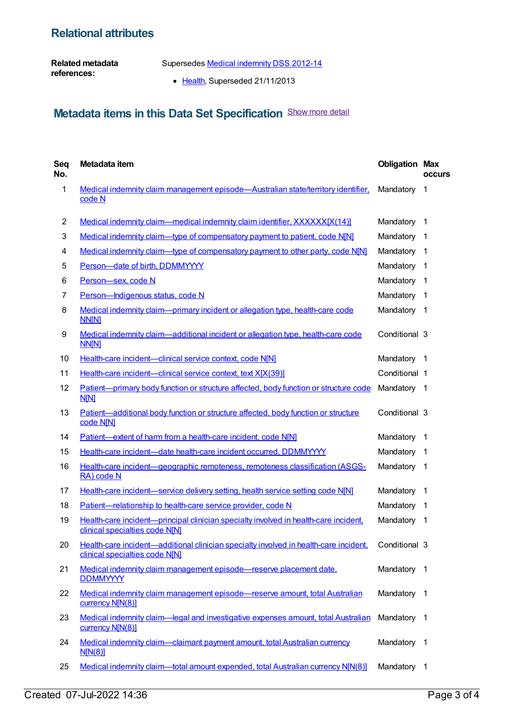### **Relational attributes**

**Related metadata references:**

Supersedes Medical [indemnity](https://meteor.aihw.gov.au/content/329638) DSS 2012-14

• [Health](https://meteor.aihw.gov.au/RegistrationAuthority/12), Superseded 21/11/2013

## **Metadata items in this Data Set Specification** Show more detail

| Seq<br>No.     | Metadata item                                                                                                           | <b>Obligation Max</b> | <b>occurs</b>  |
|----------------|-------------------------------------------------------------------------------------------------------------------------|-----------------------|----------------|
| $\mathbf 1$    | Medical indemnity claim management episode—Australian state/territory identifier,<br>code N                             | Mandatory             | $\mathbf 1$    |
| $\overline{2}$ | Medical indemnity claim—medical indemnity claim identifier, XXXXXX[X(14)]                                               | Mandatory             | -1             |
| 3              | Medical indemnity claim-type of compensatory payment to patient, code N[N]                                              | Mandatory             | -1             |
| 4              | Medical indemnity claim—type of compensatory payment to other party, code N[N]                                          | Mandatory             | -1             |
| 5              | Person-date of birth, DDMMYYYY                                                                                          | Mandatory             | -1             |
| 6              | Person-sex, code N                                                                                                      | Mandatory             | -1             |
| $\overline{7}$ | Person-Indigenous status, code N                                                                                        | Mandatory             | -1             |
| 8              | Medical indemnity claim-primary incident or allegation type, health-care code<br><b>NN[N]</b>                           | Mandatory             | -1             |
| 9              | Medical indemnity claim-additional incident or allegation type, health-care code<br><b>NN[N]</b>                        | Conditional 3         |                |
| 10             | Health-care incident-clinical service context, code N[N]                                                                | Mandatory             | $\overline{1}$ |
| 11             | Health-care incident-clinical service context, text X[X(39)]                                                            | Conditional 1         |                |
| 12             | Patient-primary body function or structure affected, body function or structure code<br>N[N]                            | Mandatory 1           |                |
| 13             | Patient-additional body function or structure affected, body function or structure<br>code N[N]                         | Conditional 3         |                |
| 14             | Patient-extent of harm from a health-care incident, code N[N]                                                           | Mandatory             | -1             |
| 15             | Health-care incident-date health-care incident occurred, DDMMYYYY                                                       | Mandatory             | - 1            |
| 16             | Health-care incident—geographic remoteness, remoteness classification (ASGS-<br>RA) code N                              | Mandatory 1           |                |
| 17             | Health-care incident—service delivery setting, health service setting code N[N]                                         | Mandatory             | -1             |
| 18             | Patient-relationship to health-care service provider, code N                                                            | Mandatory             | -1             |
| 19             | Health-care incident-principal clinician specialty involved in health-care incident,<br>clinical specialties code N[N]  | Mandatory             | 1              |
| 20             | Health-care incident—additional clinician specialty involved in health-care incident,<br>clinical specialties code N[N] | Conditional 3         |                |
| 21             | Medical indemnity claim management episode-reserve placement date.<br><b>DDMMYYYY</b>                                   | Mandatory 1           |                |
| 22             | Medical indemnity claim management episode-reserve amount, total Australian<br>currency N[N(8)]                         | Mandatory 1           |                |
| 23             | Medical indemnity claim—legal and investigative expenses amount, total Australian<br>currency N[N(8)]                   | Mandatory 1           |                |
| 24             | Medical indemnity claim-claimant payment amount, total Australian currency<br>N[N(8)]                                   | Mandatory             | - 1            |
| 25             | Medical indemnity claim—total amount expended, total Australian currency N[N(8)]                                        | Mandatory             | $\overline{1}$ |